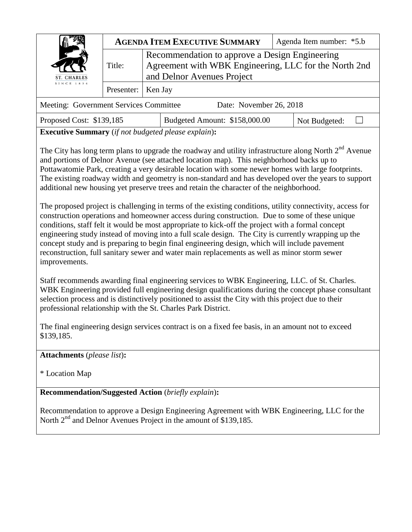| ST. CHARLES<br>SINCE 1834              | <b>AGENDA ITEM EXECUTIVE SUMMARY</b> |                                                                                                                                       | Agenda Item number: *5.b |
|----------------------------------------|--------------------------------------|---------------------------------------------------------------------------------------------------------------------------------------|--------------------------|
|                                        | Title:                               | Recommendation to approve a Design Engineering<br>Agreement with WBK Engineering, LLC for the North 2nd<br>and Delnor Avenues Project |                          |
|                                        | Presenter:   Ken Jay                 |                                                                                                                                       |                          |
| Meeting: Government Services Committee |                                      | Date: November 26, 2018                                                                                                               |                          |

**Executive Summary** (*if not budgeted please explain*)**:**

The City has long term plans to upgrade the roadway and utility infrastructure along North 2<sup>nd</sup> Avenue and portions of Delnor Avenue (see attached location map). This neighborhood backs up to Pottawatomie Park, creating a very desirable location with some newer homes with large footprints. The existing roadway width and geometry is non-standard and has developed over the years to support additional new housing yet preserve trees and retain the character of the neighborhood.

The proposed project is challenging in terms of the existing conditions, utility connectivity, access for construction operations and homeowner access during construction. Due to some of these unique conditions, staff felt it would be most appropriate to kick-off the project with a formal concept engineering study instead of moving into a full scale design. The City is currently wrapping up the concept study and is preparing to begin final engineering design, which will include pavement reconstruction, full sanitary sewer and water main replacements as well as minor storm sewer improvements.

Staff recommends awarding final engineering services to WBK Engineering, LLC. of St. Charles. WBK Engineering provided full engineering design qualifications during the concept phase consultant selection process and is distinctively positioned to assist the City with this project due to their professional relationship with the St. Charles Park District.

The final engineering design services contract is on a fixed fee basis, in an amount not to exceed \$139,185.

**Attachments** (*please list*)**:** 

\* Location Map

**Recommendation/Suggested Action** (*briefly explain*)**:**

Recommendation to approve a Design Engineering Agreement with WBK Engineering, LLC for the North 2<sup>nd</sup> and Delnor Avenues Project in the amount of \$139,185.